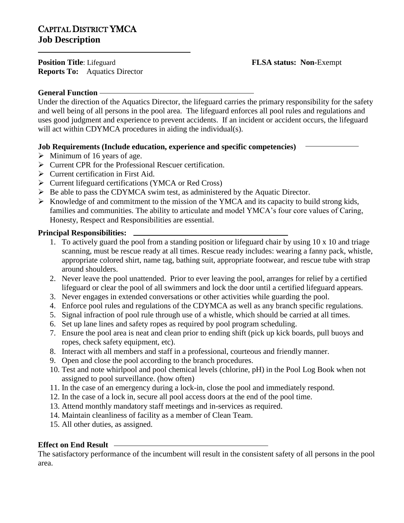**Position Title**: Lifeguard **FLSA status: Non-Exempt Reports To:** Aquatics Director

# **General Function**

Under the direction of the Aquatics Director, the lifeguard carries the primary responsibility for the safety and well being of all persons in the pool area. The lifeguard enforces all pool rules and regulations and uses good judgment and experience to prevent accidents. If an incident or accident occurs, the lifeguard will act within CDYMCA procedures in aiding the individual(s).

# **Job Requirements (Include education, experience and specific competencies)**

- $\triangleright$  Minimum of 16 years of age.
- $\triangleright$  Current CPR for the Professional Rescuer certification.
- $\triangleright$  Current certification in First Aid.
- Current lifeguard certifications (YMCA or Red Cross)
- $\triangleright$  Be able to pass the CDYMCA swim test, as administered by the Aquatic Director.
- $\triangleright$  Knowledge of and commitment to the mission of the YMCA and its capacity to build strong kids, families and communities. The ability to articulate and model YMCA's four core values of Caring, Honesty, Respect and Responsibilities are essential.

### **Principal Responsibilities:**

- 1. To actively guard the pool from a standing position or lifeguard chair by using 10 x 10 and triage scanning, must be rescue ready at all times. Rescue ready includes: wearing a fanny pack, whistle, appropriate colored shirt, name tag, bathing suit, appropriate footwear, and rescue tube with strap around shoulders.
- 2. Never leave the pool unattended. Prior to ever leaving the pool, arranges for relief by a certified lifeguard or clear the pool of all swimmers and lock the door until a certified lifeguard appears.
- 3. Never engages in extended conversations or other activities while guarding the pool.
- 4. Enforce pool rules and regulations of the CDYMCA as well as any branch specific regulations.
- 5. Signal infraction of pool rule through use of a whistle, which should be carried at all times.
- 6. Set up lane lines and safety ropes as required by pool program scheduling.
- 7. Ensure the pool area is neat and clean prior to ending shift (pick up kick boards, pull buoys and ropes, check safety equipment, etc).
- 8. Interact with all members and staff in a professional, courteous and friendly manner.
- 9. Open and close the pool according to the branch procedures.
- 10. Test and note whirlpool and pool chemical levels (chlorine, pH) in the Pool Log Book when not assigned to pool surveillance. (how often)
- 11. In the case of an emergency during a lock-in, close the pool and immediately respond.
- 12. In the case of a lock in, secure all pool access doors at the end of the pool time.
- 13. Attend monthly mandatory staff meetings and in-services as required.
- 14. Maintain cleanliness of facility as a member of Clean Team.
- 15. All other duties, as assigned.

# **Effect on End Result**

The satisfactory performance of the incumbent will result in the consistent safety of all persons in the pool area.